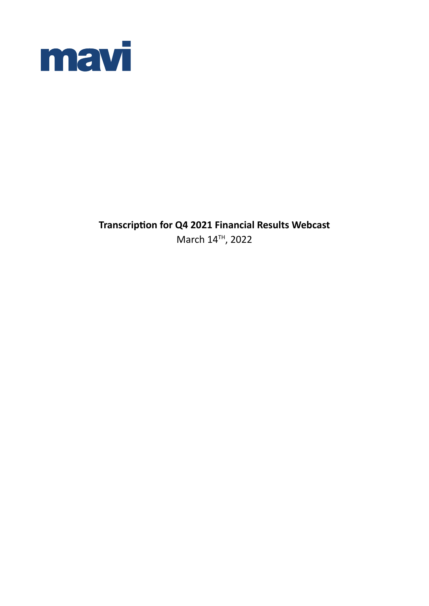

**Transcription for Q4 2021 Financial Results Webcast** March 14TH, 2022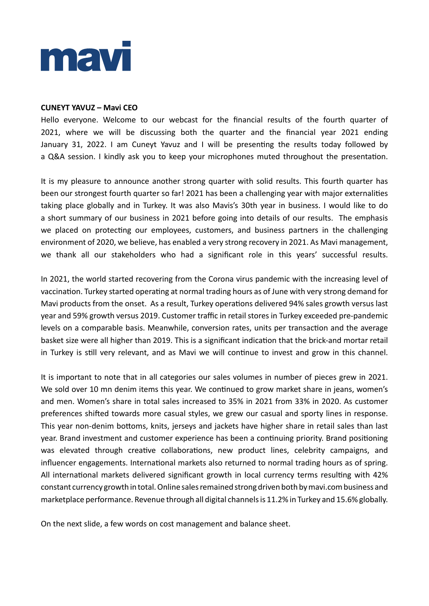

#### **CUNEYT YAVUZ – Mavi CEO**

Hello everyone. Welcome to our webcast for the financial results of the fourth quarter of 2021, where we will be discussing both the quarter and the financial year 2021 ending January 31, 2022. I am Cuneyt Yavuz and I will be presenting the results today followed by a Q&A session. I kindly ask you to keep your microphones muted throughout the presentation.

It is my pleasure to announce another strong quarter with solid results. This fourth quarter has been our strongest fourth quarter so far! 2021 has been a challenging year with major externalities taking place globally and in Turkey. It was also Mavis's 30th year in business. I would like to do a short summary of our business in 2021 before going into details of our results. The emphasis we placed on protecting our employees, customers, and business partners in the challenging environment of 2020, we believe, has enabled a very strong recovery in 2021. As Mavi management, we thank all our stakeholders who had a significant role in this years' successful results.

In 2021, the world started recovering from the Corona virus pandemic with the increasing level of vaccination. Turkey started operating at normal trading hours as of June with very strong demand for Mavi products from the onset. As a result, Turkey operations delivered 94% sales growth versus last year and 59% growth versus 2019. Customer traffic in retail stores in Turkey exceeded pre-pandemic levels on a comparable basis. Meanwhile, conversion rates, units per transaction and the average basket size were all higher than 2019. This is a significant indication that the brick-and mortar retail in Turkey is still very relevant, and as Mavi we will continue to invest and grow in this channel.

It is important to note that in all categories our sales volumes in number of pieces grew in 2021. We sold over 10 mn denim items this year. We continued to grow market share in jeans, women's and men. Women's share in total sales increased to 35% in 2021 from 33% in 2020. As customer preferences shifted towards more casual styles, we grew our casual and sporty lines in response. This year non-denim bottoms, knits, jerseys and jackets have higher share in retail sales than last year. Brand investment and customer experience has been a continuing priority. Brand positioning was elevated through creative collaborations, new product lines, celebrity campaigns, and influencer engagements. International markets also returned to normal trading hours as of spring. All international markets delivered significant growth in local currency terms resulting with 42% constant currency growth in total. Online sales remained strong driven both by mavi.com business and marketplace performance. Revenue through all digital channels is 11.2% in Turkey and 15.6% globally.

On the next slide, a few words on cost management and balance sheet.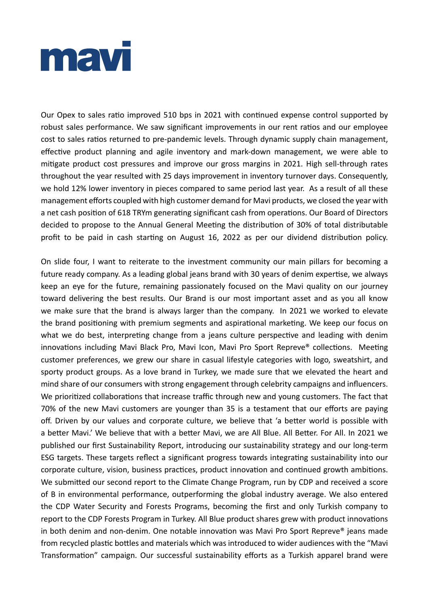

Our Opex to sales ratio improved 510 bps in 2021 with continued expense control supported by robust sales performance. We saw significant improvements in our rent ratios and our employee cost to sales ratios returned to pre-pandemic levels. Through dynamic supply chain management, effective product planning and agile inventory and mark-down management, we were able to mitigate product cost pressures and improve our gross margins in 2021. High sell-through rates throughout the year resulted with 25 days improvement in inventory turnover days. Consequently, we hold 12% lower inventory in pieces compared to same period last year. As a result of all these management efforts coupled with high customer demand for Mavi products, we closed the year with a net cash position of 618 TRYm generating significant cash from operations. Our Board of Directors decided to propose to the Annual General Meeting the distribution of 30% of total distributable profit to be paid in cash starting on August 16, 2022 as per our dividend distribution policy.

On slide four, I want to reiterate to the investment community our main pillars for becoming a future ready company. As a leading global jeans brand with 30 years of denim expertise, we always keep an eye for the future, remaining passionately focused on the Mavi quality on our journey toward delivering the best results. Our Brand is our most important asset and as you all know we make sure that the brand is always larger than the company. In 2021 we worked to elevate the brand positioning with premium segments and aspirational marketing. We keep our focus on what we do best, interpreting change from a jeans culture perspective and leading with denim innovations including Mavi Black Pro, Mavi Icon, Mavi Pro Sport Repreve® collections. Meeting customer preferences, we grew our share in casual lifestyle categories with logo, sweatshirt, and sporty product groups. As a love brand in Turkey, we made sure that we elevated the heart and mind share of our consumers with strong engagement through celebrity campaigns and influencers. We prioritized collaborations that increase traffic through new and young customers. The fact that 70% of the new Mavi customers are younger than 35 is a testament that our efforts are paying off. Driven by our values and corporate culture, we believe that 'a better world is possible with a better Mavi.' We believe that with a better Mavi, we are All Blue. All Better. For All. In 2021 we published our first Sustainability Report, introducing our sustainability strategy and our long-term ESG targets. These targets reflect a significant progress towards integrating sustainability into our corporate culture, vision, business practices, product innovation and continued growth ambitions. We submitted our second report to the Climate Change Program, run by CDP and received a score of B in environmental performance, outperforming the global industry average. We also entered the CDP Water Security and Forests Programs, becoming the first and only Turkish company to report to the CDP Forests Program in Turkey. All Blue product shares grew with product innovations in both denim and non-denim. One notable innovation was Mavi Pro Sport Repreve® jeans made from recycled plastic bottles and materials which was introduced to wider audiences with the "Mavi Transformation" campaign. Our successful sustainability efforts as a Turkish apparel brand were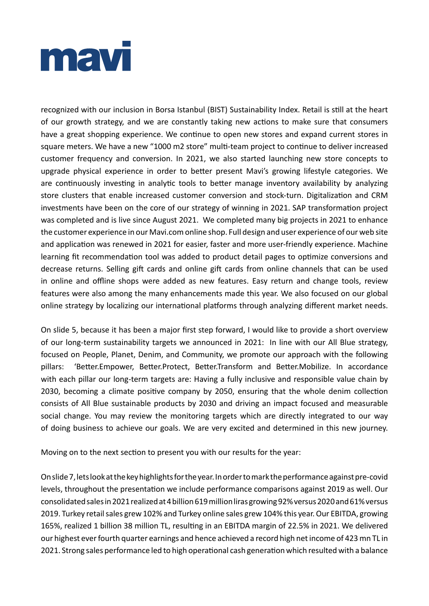

recognized with our inclusion in Borsa Istanbul (BIST) Sustainability Index. Retail is still at the heart of our growth strategy, and we are constantly taking new actions to make sure that consumers have a great shopping experience. We continue to open new stores and expand current stores in square meters. We have a new "1000 m2 store" multi-team project to continue to deliver increased customer frequency and conversion. In 2021, we also started launching new store concepts to upgrade physical experience in order to better present Mavi's growing lifestyle categories. We are continuously investing in analytic tools to better manage inventory availability by analyzing store clusters that enable increased customer conversion and stock-turn. Digitalization and CRM investments have been on the core of our strategy of winning in 2021. SAP transformation project was completed and is live since August 2021. We completed many big projects in 2021 to enhance the customer experience in our Mavi.com online shop. Full design and user experience of our web site and application was renewed in 2021 for easier, faster and more user-friendly experience. Machine learning fit recommendation tool was added to product detail pages to optimize conversions and decrease returns. Selling gift cards and online gift cards from online channels that can be used in online and offline shops were added as new features. Easy return and change tools, review features were also among the many enhancements made this year. We also focused on our global online strategy by localizing our international platforms through analyzing different market needs.

On slide 5, because it has been a major first step forward, I would like to provide a short overview of our long-term sustainability targets we announced in 2021: In line with our All Blue strategy, focused on People, Planet, Denim, and Community, we promote our approach with the following pillars: 'Better.Empower, Better.Protect, Better.Transform and Better.Mobilize. In accordance with each pillar our long-term targets are: Having a fully inclusive and responsible value chain by 2030, becoming a climate positive company by 2050, ensuring that the whole denim collection consists of All Blue sustainable products by 2030 and driving an impact focused and measurable social change. You may review the monitoring targets which are directly integrated to our way of doing business to achieve our goals. We are very excited and determined in this new journey.

Moving on to the next section to present you with our results for the year:

On slide 7, lets look at the key highlights for the year. In order to mark the performance against pre-covid levels, throughout the presentation we include performance comparisons against 2019 as well. Our consolidated sales in 2021 realized at 4 billion 619 million liras growing 92% versus 2020 and 61% versus 2019. Turkey retail sales grew 102% and Turkey online sales grew 104% this year. Our EBITDA, growing 165%, realized 1 billion 38 million TL, resulting in an EBITDA margin of 22.5% in 2021. We delivered our highest ever fourth quarter earnings and hence achieved a record high net income of 423 mn TL in 2021. Strong sales performance led to high operational cash generation which resulted with a balance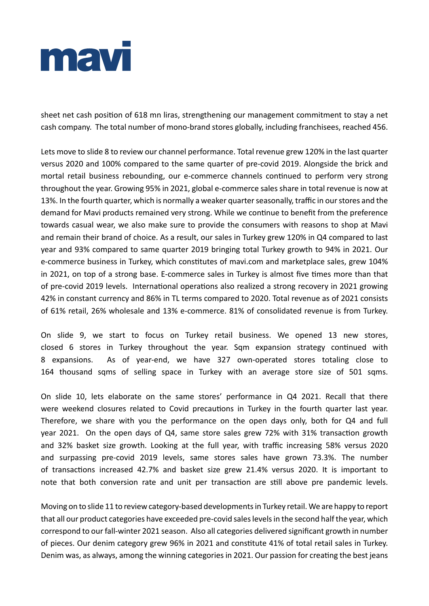

sheet net cash position of 618 mn liras, strengthening our management commitment to stay a net cash company. The total number of mono-brand stores globally, including franchisees, reached 456.

Lets move to slide 8 to review our channel performance. Total revenue grew 120% in the last quarter versus 2020 and 100% compared to the same quarter of pre-covid 2019. Alongside the brick and mortal retail business rebounding, our e-commerce channels continued to perform very strong throughout the year. Growing 95% in 2021, global e-commerce sales share in total revenue is now at 13%. In the fourth quarter, which is normally a weaker quarter seasonally, traffic in our stores and the demand for Mavi products remained very strong. While we continue to benefit from the preference towards casual wear, we also make sure to provide the consumers with reasons to shop at Mavi and remain their brand of choice. As a result, our sales in Turkey grew 120% in Q4 compared to last year and 93% compared to same quarter 2019 bringing total Turkey growth to 94% in 2021. Our e-commerce business in Turkey, which constitutes of mavi.com and marketplace sales, grew 104% in 2021, on top of a strong base. E-commerce sales in Turkey is almost five times more than that of pre-covid 2019 levels. International operations also realized a strong recovery in 2021 growing 42% in constant currency and 86% in TL terms compared to 2020. Total revenue as of 2021 consists of 61% retail, 26% wholesale and 13% e-commerce. 81% of consolidated revenue is from Turkey.

On slide 9, we start to focus on Turkey retail business. We opened 13 new stores, closed 6 stores in Turkey throughout the year. Sqm expansion strategy continued with 8 expansions. As of year-end, we have 327 own-operated stores totaling close to 164 thousand sqms of selling space in Turkey with an average store size of 501 sqms.

On slide 10, lets elaborate on the same stores' performance in Q4 2021. Recall that there were weekend closures related to Covid precautions in Turkey in the fourth quarter last year. Therefore, we share with you the performance on the open days only, both for Q4 and full year 2021. On the open days of Q4, same store sales grew 72% with 31% transaction growth and 32% basket size growth. Looking at the full year, with traffic increasing 58% versus 2020 and surpassing pre-covid 2019 levels, same stores sales have grown 73.3%. The number of transactions increased 42.7% and basket size grew 21.4% versus 2020. It is important to note that both conversion rate and unit per transaction are still above pre pandemic levels.

Moving on to slide 11 to review category-based developments in Turkey retail. We are happy to report that all our product categories have exceeded pre-covid sales levels in the second half the year, which correspond to our fall-winter 2021 season. Also all categories delivered significant growth in number of pieces. Our denim category grew 96% in 2021 and constitute 41% of total retail sales in Turkey. Denim was, as always, among the winning categories in 2021. Our passion for creating the best jeans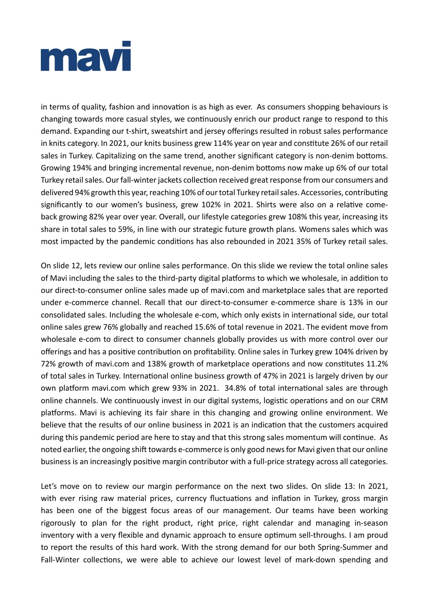

in terms of quality, fashion and innovation is as high as ever. As consumers shopping behaviours is changing towards more casual styles, we continuously enrich our product range to respond to this demand. Expanding our t-shirt, sweatshirt and jersey offerings resulted in robust sales performance in knits category. In 2021, our knits business grew 114% year on year and constitute 26% of our retail sales in Turkey. Capitalizing on the same trend, another significant category is non-denim bottoms. Growing 194% and bringing incremental revenue, non-denim bottoms now make up 6% of our total Turkey retail sales. Our fall-winter jackets collection received great response from our consumers and delivered 94% growth this year, reaching 10% of our total Turkey retail sales. Accessories, contributing significantly to our women's business, grew 102% in 2021. Shirts were also on a relative comeback growing 82% year over year. Overall, our lifestyle categories grew 108% this year, increasing its share in total sales to 59%, in line with our strategic future growth plans. Womens sales which was most impacted by the pandemic conditions has also rebounded in 2021 35% of Turkey retail sales.

On slide 12, lets review our online sales performance. On this slide we review the total online sales of Mavi including the sales to the third-party digital platforms to which we wholesale, in addition to our direct-to-consumer online sales made up of mavi.com and marketplace sales that are reported under e-commerce channel. Recall that our direct-to-consumer e-commerce share is 13% in our consolidated sales. Including the wholesale e-com, which only exists in international side, our total online sales grew 76% globally and reached 15.6% of total revenue in 2021. The evident move from wholesale e-com to direct to consumer channels globally provides us with more control over our offerings and has a positive contribution on profitability. Online sales in Turkey grew 104% driven by 72% growth of mavi.com and 138% growth of marketplace operations and now constitutes 11.2% of total sales in Turkey. International online business growth of 47% in 2021 is largely driven by our own platform mavi.com which grew 93% in 2021. 34.8% of total international sales are through online channels. We continuously invest in our digital systems, logistic operations and on our CRM platforms. Mavi is achieving its fair share in this changing and growing online environment. We believe that the results of our online business in 2021 is an indication that the customers acquired during this pandemic period are here to stay and that this strong sales momentum will continue. As noted earlier, the ongoing shift towards e-commerce is only good news for Mavi given that our online business is an increasingly positive margin contributor with a full-price strategy across all categories.

Let's move on to review our margin performance on the next two slides. On slide 13: In 2021, with ever rising raw material prices, currency fluctuations and inflation in Turkey, gross margin has been one of the biggest focus areas of our management. Our teams have been working rigorously to plan for the right product, right price, right calendar and managing in-season inventory with a very flexible and dynamic approach to ensure optimum sell-throughs. I am proud to report the results of this hard work. With the strong demand for our both Spring-Summer and Fall-Winter collections, we were able to achieve our lowest level of mark-down spending and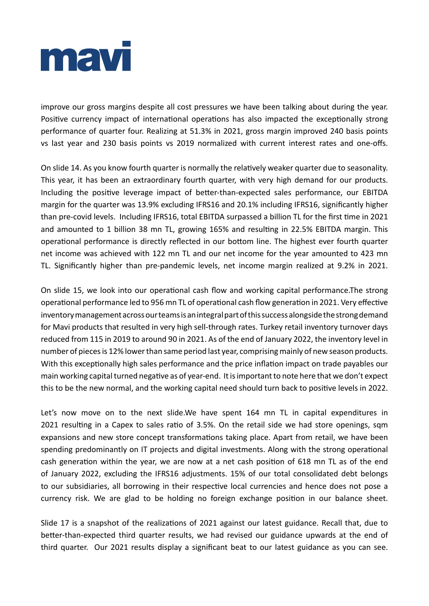

improve our gross margins despite all cost pressures we have been talking about during the year. Positive currency impact of international operations has also impacted the exceptionally strong performance of quarter four. Realizing at 51.3% in 2021, gross margin improved 240 basis points vs last year and 230 basis points vs 2019 normalized with current interest rates and one-offs.

On slide 14. As you know fourth quarter is normally the relatively weaker quarter due to seasonality. This year, it has been an extraordinary fourth quarter, with very high demand for our products. Including the positive leverage impact of better-than-expected sales performance, our EBITDA margin for the quarter was 13.9% excluding IFRS16 and 20.1% including IFRS16, significantly higher than pre-covid levels. Including IFRS16, total EBITDA surpassed a billion TL for the first time in 2021 and amounted to 1 billion 38 mn TL, growing 165% and resulting in 22.5% EBITDA margin. This operational performance is directly reflected in our bottom line. The highest ever fourth quarter net income was achieved with 122 mn TL and our net income for the year amounted to 423 mn TL. Significantly higher than pre-pandemic levels, net income margin realized at 9.2% in 2021.

On slide 15, we look into our operational cash flow and working capital performance.The strong operational performance led to 956 mn TL of operational cash flow generation in 2021. Very effective inventory management across our teams is an integral part of this success alongside the strong demand for Mavi products that resulted in very high sell-through rates. Turkey retail inventory turnover days reduced from 115 in 2019 to around 90 in 2021. As of the end of January 2022, the inventory level in number of pieces is 12% lower than same period last year, comprising mainly of new season products. With this exceptionally high sales performance and the price inflation impact on trade payables our main working capital turned negative as of year-end. It is important to note here that we don't expect this to be the new normal, and the working capital need should turn back to positive levels in 2022.

Let's now move on to the next slide.We have spent 164 mn TL in capital expenditures in 2021 resulting in a Capex to sales ratio of 3.5%. On the retail side we had store openings, sqm expansions and new store concept transformations taking place. Apart from retail, we have been spending predominantly on IT projects and digital investments. Along with the strong operational cash generation within the year, we are now at a net cash position of 618 mn TL as of the end of January 2022, excluding the IFRS16 adjustments. 15% of our total consolidated debt belongs to our subsidiaries, all borrowing in their respective local currencies and hence does not pose a currency risk. We are glad to be holding no foreign exchange position in our balance sheet.

Slide 17 is a snapshot of the realizations of 2021 against our latest guidance. Recall that, due to better-than-expected third quarter results, we had revised our guidance upwards at the end of third quarter. Our 2021 results display a significant beat to our latest guidance as you can see.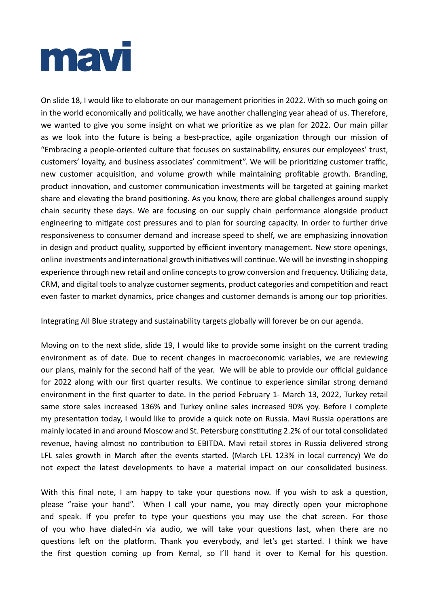

On slide 18, I would like to elaborate on our management priorities in 2022. With so much going on in the world economically and politically, we have another challenging year ahead of us. Therefore, we wanted to give you some insight on what we prioritize as we plan for 2022. Our main pillar as we look into the future is being a best-practice, agile organization through our mission of "Embracing a people-oriented culture that focuses on sustainability, ensures our employees' trust, customers' loyalty, and business associates' commitment". We will be prioritizing customer traffic, new customer acquisition, and volume growth while maintaining profitable growth. Branding, product innovation, and customer communication investments will be targeted at gaining market share and elevating the brand positioning. As you know, there are global challenges around supply chain security these days. We are focusing on our supply chain performance alongside product engineering to mitigate cost pressures and to plan for sourcing capacity. In order to further drive responsiveness to consumer demand and increase speed to shelf, we are emphasizing innovation in design and product quality, supported by efficient inventory management. New store openings, online investments and international growth initiatives will continue. We will be investing in shopping experience through new retail and online concepts to grow conversion and frequency. Utilizing data, CRM, and digital tools to analyze customer segments, product categories and competition and react even faster to market dynamics, price changes and customer demands is among our top priorities.

Integrating All Blue strategy and sustainability targets globally will forever be on our agenda.

Moving on to the next slide, slide 19, I would like to provide some insight on the current trading environment as of date. Due to recent changes in macroeconomic variables, we are reviewing our plans, mainly for the second half of the year. We will be able to provide our official guidance for 2022 along with our first quarter results. We continue to experience similar strong demand environment in the first quarter to date. In the period February 1- March 13, 2022, Turkey retail same store sales increased 136% and Turkey online sales increased 90% yoy. Before I complete my presentation today, I would like to provide a quick note on Russia. Mavi Russia operations are mainly located in and around Moscow and St. Petersburg constituting 2.2% of our total consolidated revenue, having almost no contribution to EBITDA. Mavi retail stores in Russia delivered strong LFL sales growth in March after the events started. (March LFL 123% in local currency) We do not expect the latest developments to have a material impact on our consolidated business.

With this final note, I am happy to take your questions now. If you wish to ask a question, please "raise your hand". When I call your name, you may directly open your microphone and speak. If you prefer to type your questions you may use the chat screen. For those of you who have dialed-in via audio, we will take your questions last, when there are no questions left on the platform. Thank you everybody, and let's get started. I think we have the first question coming up from Kemal, so I'll hand it over to Kemal for his question.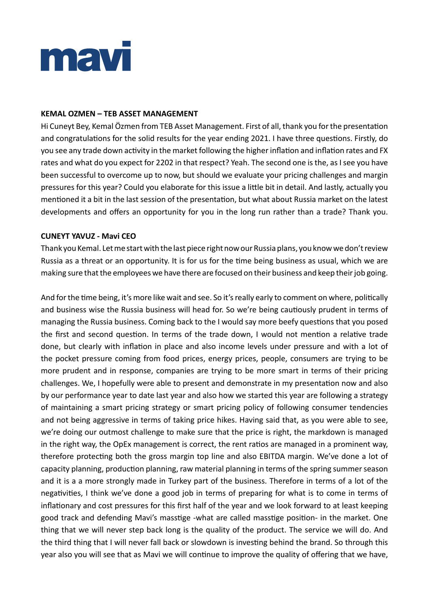

### **KEMAL OZMEN – TEB ASSET MANAGEMENT**

Hi Cuneyt Bey, Kemal Özmen from TEB Asset Management. First of all, thank you for the presentation and congratulations for the solid results for the year ending 2021. I have three questions. Firstly, do you see any trade down activity in the market following the higher inflation and inflation rates and FX rates and what do you expect for 2202 in that respect? Yeah. The second one is the, as I see you have been successful to overcome up to now, but should we evaluate your pricing challenges and margin pressures for this year? Could you elaborate for this issue a little bit in detail. And lastly, actually you mentioned it a bit in the last session of the presentation, but what about Russia market on the latest developments and offers an opportunity for you in the long run rather than a trade? Thank you.

# **CUNEYT YAVUZ - Mavi CEO**

Thank you Kemal. Let me start with the last piece right now our Russia plans, you know we don't review Russia as a threat or an opportunity. It is for us for the time being business as usual, which we are making sure that the employees we have there are focused on their business and keep their job going.

And for the time being, it's more like wait and see. So it's really early to comment on where, politically and business wise the Russia business will head for. So we're being cautiously prudent in terms of managing the Russia business. Coming back to the I would say more beefy questions that you posed the first and second question. In terms of the trade down, I would not mention a relative trade done, but clearly with inflation in place and also income levels under pressure and with a lot of the pocket pressure coming from food prices, energy prices, people, consumers are trying to be more prudent and in response, companies are trying to be more smart in terms of their pricing challenges. We, I hopefully were able to present and demonstrate in my presentation now and also by our performance year to date last year and also how we started this year are following a strategy of maintaining a smart pricing strategy or smart pricing policy of following consumer tendencies and not being aggressive in terms of taking price hikes. Having said that, as you were able to see, we're doing our outmost challenge to make sure that the price is right, the markdown is managed in the right way, the OpEx management is correct, the rent ratios are managed in a prominent way, therefore protecting both the gross margin top line and also EBITDA margin. We've done a lot of capacity planning, production planning, raw material planning in terms of the spring summer season and it is a a more strongly made in Turkey part of the business. Therefore in terms of a lot of the negativities, I think we've done a good job in terms of preparing for what is to come in terms of inflationary and cost pressures for this first half of the year and we look forward to at least keeping good track and defending Mavi's masstige -what are called masstige position- in the market. One thing that we will never step back long is the quality of the product. The service we will do. And the third thing that I will never fall back or slowdown is investing behind the brand. So through this year also you will see that as Mavi we will continue to improve the quality of offering that we have,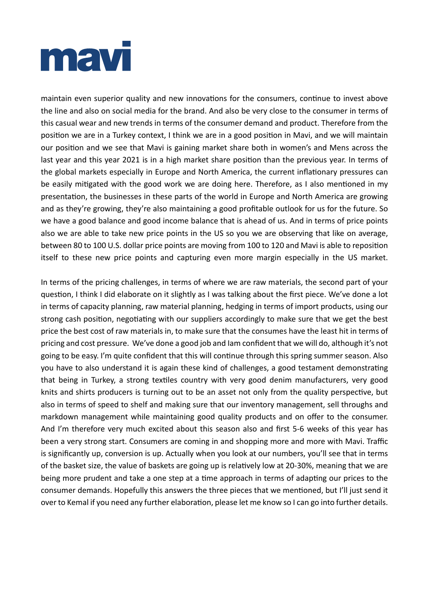

maintain even superior quality and new innovations for the consumers, continue to invest above the line and also on social media for the brand. And also be very close to the consumer in terms of this casual wear and new trends in terms of the consumer demand and product. Therefore from the position we are in a Turkey context, I think we are in a good position in Mavi, and we will maintain our position and we see that Mavi is gaining market share both in women's and Mens across the last year and this year 2021 is in a high market share position than the previous year. In terms of the global markets especially in Europe and North America, the current inflationary pressures can be easily mitigated with the good work we are doing here. Therefore, as I also mentioned in my presentation, the businesses in these parts of the world in Europe and North America are growing and as they're growing, they're also maintaining a good profitable outlook for us for the future. So we have a good balance and good income balance that is ahead of us. And in terms of price points also we are able to take new price points in the US so you we are observing that like on average, between 80 to 100 U.S. dollar price points are moving from 100 to 120 and Mavi is able to reposition itself to these new price points and capturing even more margin especially in the US market.

In terms of the pricing challenges, in terms of where we are raw materials, the second part of your question, I think I did elaborate on it slightly as I was talking about the first piece. We've done a lot in terms of capacity planning, raw material planning, hedging in terms of import products, using our strong cash position, negotiating with our suppliers accordingly to make sure that we get the best price the best cost of raw materials in, to make sure that the consumes have the least hit in terms of pricing and cost pressure. We've done a good job and Iam confident that we will do, although it's not going to be easy. I'm quite confident that this will continue through this spring summer season. Also you have to also understand it is again these kind of challenges, a good testament demonstrating that being in Turkey, a strong textiles country with very good denim manufacturers, very good knits and shirts producers is turning out to be an asset not only from the quality perspective, but also in terms of speed to shelf and making sure that our inventory management, sell throughs and markdown management while maintaining good quality products and on offer to the consumer. And I'm therefore very much excited about this season also and first 5-6 weeks of this year has been a very strong start. Consumers are coming in and shopping more and more with Mavi. Traffic is significantly up, conversion is up. Actually when you look at our numbers, you'll see that in terms of the basket size, the value of baskets are going up is relatively low at 20-30%, meaning that we are being more prudent and take a one step at a time approach in terms of adapting our prices to the consumer demands. Hopefully this answers the three pieces that we mentioned, but I'll just send it over to Kemal if you need any further elaboration, please let me know so I can go into further details.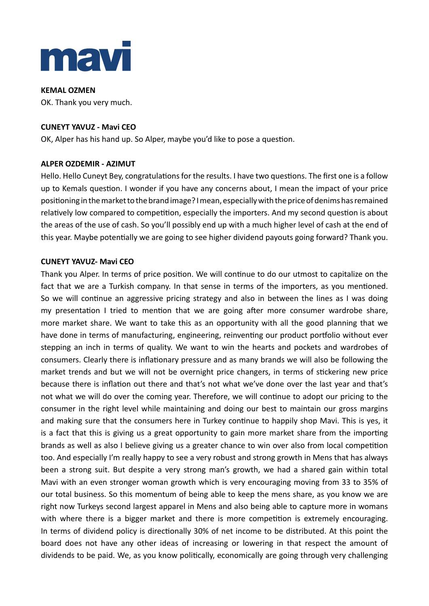

**KEMAL OZMEN** OK. Thank you very much.

# **CUNEYT YAVUZ - Mavi CEO**

OK, Alper has his hand up. So Alper, maybe you'd like to pose a question.

### **ALPER OZDEMIR - AZIMUT**

Hello. Hello Cuneyt Bey, congratulations for the results. I have two questions. The first one is a follow up to Kemals question. I wonder if you have any concerns about, I mean the impact of your price positioning in the market to the brand image? I mean, especially with the price of denims has remained relatively low compared to competition, especially the importers. And my second question is about the areas of the use of cash. So you'll possibly end up with a much higher level of cash at the end of this year. Maybe potentially we are going to see higher dividend payouts going forward? Thank you.

### **CUNEYT YAVUZ- Mavi CEO**

Thank you Alper. In terms of price position. We will continue to do our utmost to capitalize on the fact that we are a Turkish company. In that sense in terms of the importers, as you mentioned. So we will continue an aggressive pricing strategy and also in between the lines as I was doing my presentation I tried to mention that we are going after more consumer wardrobe share, more market share. We want to take this as an opportunity with all the good planning that we have done in terms of manufacturing, engineering, reinventing our product portfolio without ever stepping an inch in terms of quality. We want to win the hearts and pockets and wardrobes of consumers. Clearly there is inflationary pressure and as many brands we will also be following the market trends and but we will not be overnight price changers, in terms of stickering new price because there is inflation out there and that's not what we've done over the last year and that's not what we will do over the coming year. Therefore, we will continue to adopt our pricing to the consumer in the right level while maintaining and doing our best to maintain our gross margins and making sure that the consumers here in Turkey continue to happily shop Mavi. This is yes, it is a fact that this is giving us a great opportunity to gain more market share from the importing brands as well as also I believe giving us a greater chance to win over also from local competition too. And especially I'm really happy to see a very robust and strong growth in Mens that has always been a strong suit. But despite a very strong man's growth, we had a shared gain within total Mavi with an even stronger woman growth which is very encouraging moving from 33 to 35% of our total business. So this momentum of being able to keep the mens share, as you know we are right now Turkeys second largest apparel in Mens and also being able to capture more in womans with where there is a bigger market and there is more competition is extremely encouraging. In terms of dividend policy is directionally 30% of net income to be distributed. At this point the board does not have any other ideas of increasing or lowering in that respect the amount of dividends to be paid. We, as you know politically, economically are going through very challenging